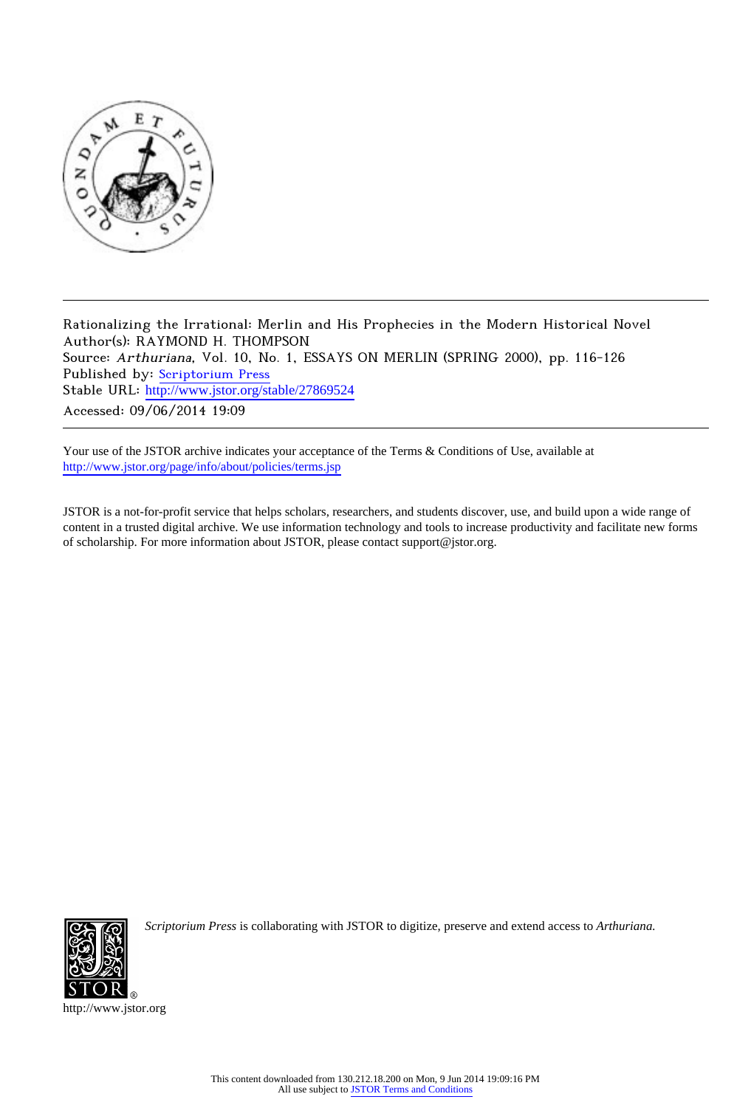

Rationalizing the Irrational: Merlin and His Prophecies in the Modern Historical Novel Author(s): RAYMOND H. THOMPSON Source: Arthuriana, Vol. 10, No. 1, ESSAYS ON MERLIN (SPRING 2000), pp. 116-126 Published by: [Scriptorium Press](http://www.jstor.org/action/showPublisher?publisherCode=scriptorium) Stable URL: http://www.jstor.org/stable/27869524 Accessed: 09/06/2014 19:09

Your use of the JSTOR archive indicates your acceptance of the Terms & Conditions of Use, available at <http://www.jstor.org/page/info/about/policies/terms.jsp>

JSTOR is a not-for-profit service that helps scholars, researchers, and students discover, use, and build upon a wide range of content in a trusted digital archive. We use information technology and tools to increase productivity and facilitate new forms of scholarship. For more information about JSTOR, please contact support@jstor.org.



*Scriptorium Press* is collaborating with JSTOR to digitize, preserve and extend access to *Arthuriana.*

http://www.jstor.org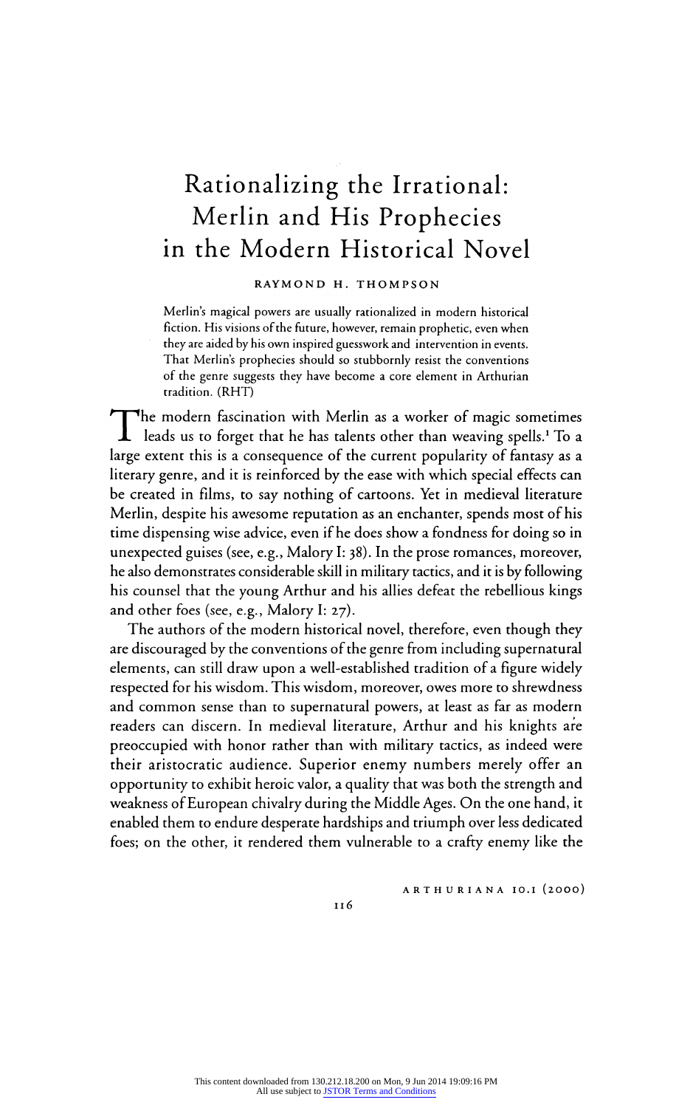# Rationalizing the Irrational: Merlin and His Prophecies in the Modern Historical Novel

# RAYMOND H. THOMPSON

Merlin's magical powers are usually rationalized in modern historical fiction. His visions of the future, however, remain prophetic, even when they are aided by his own inspired guesswork and intervention in events. That Merlin's prophecies should so stubbornly resist the conventions of the genre suggests they have become a core element in Arthurian tradition. (RHT)

The modern fascination with Merlin as a worker of magic sometime leads us to forget that he has talents other than weaving spells.<sup>4</sup> To a large extent this is a consequence of the current popularity of fantasy as a literary genre, and it is reinforced by the ease with which special effects can be created in films, to say nothing of cartoons. Yet in medieval literature Merlin, despite his awesome reputation as an enchanter, spends most of his time dispensing wise advice, even if he does show a fondness for doing so in unexpected guises (see, e.g., Malory I: 38). In the prose romances, moreover, he also demonstrates considerable skill in military tactics, and it is by following his counsel that the young Arthur and his allies defeat the rebellious kings and other foes (see, e.g., Malory I: 27).

The authors of the modern historical novel, therefore, even though they are discouraged by the conventions of the genre from including supernatural elements, can still draw upon a well-established tradition of a figure widely respected for his wisdom. This wisdom, moreover, owes more to shrewdness and common sense than to supernatural powers, at least as far as modern readers can discern. In medieval literature, Arthur and his knights are preoccupied with honor rather than with military tactics, as indeed were their aristocratic audience. Superior enemy numbers merely offer an opportunity to exhibit heroic valor, a quality that was both the strength and weakness of European chivalry during the Middle Ages. On the one hand, it enabled them to endure desperate hardships and triumph over less dedicated foes; on the other, it rendered them vulnerable to a crafty enemy like the

ARTHURIANA IO.I (2OOO)

Il6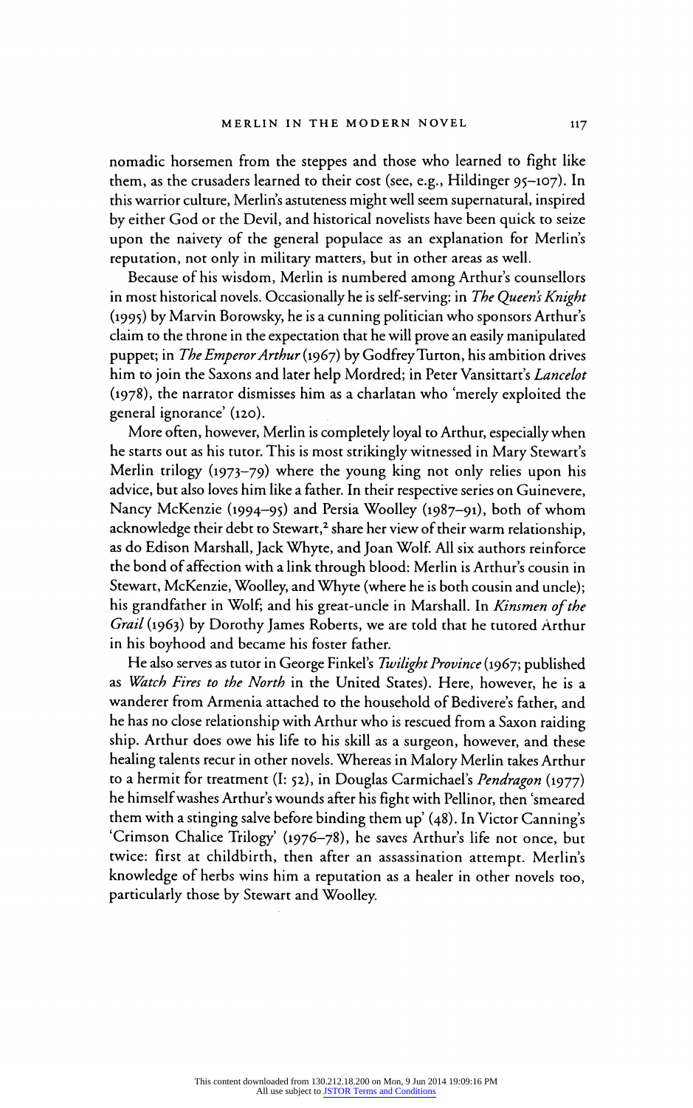nomadic horsemen from the steppes and those who learned to fight like them, as the crusaders learned to their cost (see, e.g., Hildinger 95-107). In this warrior culture, Merlin's astuteness might well seem supernatural, inspired by either God or the Devil, and historical novelists have been quick to seize upon the naivety of the general populace as an explanation for Merlin's reputation, not only in military matters, but in other areas as well.

Because of his wisdom, Merlin is numbered among Arthur's counsellors in most historical novels. Occasionally he is self-serving: in The Queen's Knight (1995) by Marvin Borowsky, he is a cunning politician who sponsors Arthur's claim to the throne in the expectation that he will prove an easily manipulated puppet; in The Emperor Arthur (1967) by Godfrey Turton, his ambition drives him to join the Saxons and later help Mordred; in Peter Vansittart's Lancelot (1978), the narrator dismisses him as a charlatan who 'merely exploited the general ignorance' (120). general ignorance' (120).

More often, however, Merlin is completely loyal to Arthur, especially when  $\tau_1$  is  $\tau_2$ he starts out as his tutor. This is most strikingly witnessed in Mary Stewart's Merlin trilogy (1973–79) where the young king not only relies upon his advice, but also loves him like a father. In their respective series on Guinevere, Nancy McKenzie (1994-95) and Persia Woolley (1987-91), both of whom acknowledge their debt to Stewart,<sup>2</sup> share her view of their warm relationship, as do Edison Marshall, Jack Whyte, and Joan Wolf. All six authors reinforce the bond of affection with a link through blood: Merlin is Arthur's cousin in Stewart, McKenzie, Woolley, and Whyte (where he is both cousin and uncle); his grandfather in Wolf; and his great-uncle in Marshall. In Kinsmen of the  $G_1/(G_2)$  l in  $I_1$  in  $I_2$  in  $I_3$  in  $I_4$  in  $I_5$  in  $I_6$  in  $I_7$  in  $I_8$  in  $I_9$  in  $I_1$  in  $I_1$  in  $I_2$  in  $I_3$  in  $I_4$  in  $I_$ Grail (1963) by Dorothy James Roberts, we are told that he tutored Arthur in his boyhood and became his foster father.

He also serves as tutor in George Finkel's Twilight Province (1967; published as Watch Fires to the North in the United States). Here, however, he is a wanderer from Armenia attached to the household of Bedivere's father, and he has no close relationship with Arthur who is rescued from a Saxon raiding ship. Arthur does owe his life to his skill as a surgeon, however, and these healing talents recur in other novels. Whereas in Malory Merlin takes Arthur to a hermit for treatment (I: 52), in Douglas Carmichael's Pendragon (1977) he himself washes Arthur's wounds after his fight with Pellinor, then 'smeared them with a stinging salve before binding them up' (48). In Victor Canning's 'Crimson Chalice Trilogy' (1976-78), he saves Arthur's life not once, but twice: first at childbirth, then after an assassination attempt. Merlin's knowledge of herbs wins him a reputation as a healer in other novels too, particularly those by Stewart and Woolley.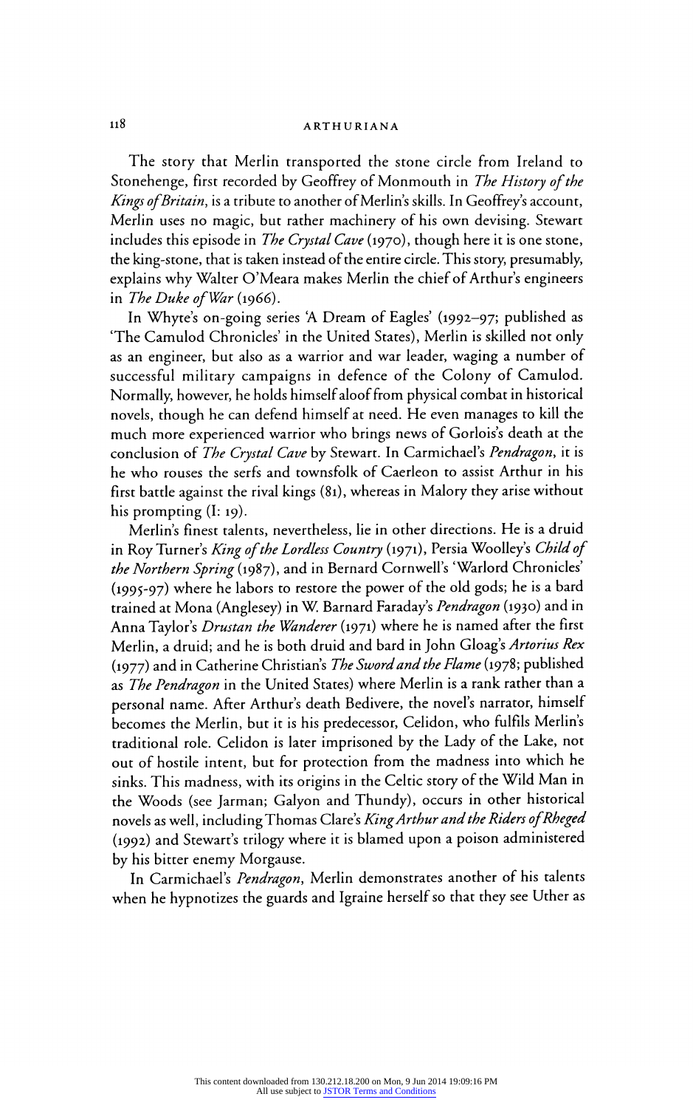# ii8 ARTHURIANA

The story that Merlin transported the stone circle from Ireland to Stonehenge, first recorded by Geoffrey of Monmouth in The History of the Kings of Britain, is a tribute to another of Merlin's skills. In Geoffrey's account, Merlin uses no magic, but rather machinery of his own devising. Stewart includes this episode in *The Crystal Cave* (1970), though here it is one stone, the king-stone, that is taken instead of the entire circle. This story, presumably, explains why Walter O'Meara makes Merlin the chief of Arthur's engineers in The Duke of War  $(1966)$ .

In Whyte's on-going series A Dream of Eagles' (1992-97; published as 'The Camulod Chronicles' in the United States), Merlin is skilled not only as an engineer, but also as a warrior and war leader, waging a number of successful military campaigns in defence of the Colony of Camulod. Normally, however, he holds himself aloof from physical combat in historical novels, though he can defend himself at need. He even manages to kill the much more experienced warrior who brings news of Gorlois's death at the conclusion of The Crystal Cave by Stewart. In Carmichael's Pendragon, it is he who rouses the serfs and townsfolk of Caerleon to assist Arthur in his first battle against the rival kings (81), whereas in Malory they arise without his prompting (I: 19).

Merlin's finest talents, nevertheless, lie in other directions. He is a druid in Roy Turner's King of the Lordless Country (1971), Persia Woolley's Child of the Northern Spring (1987), and in Bernard Cornwell's 'Warlord Chronicles' (1995-97) where he labors to restore the power of the old gods; he is a bard trained at Mona (Anglesey) in W. Barnard Faraday's Pendragon (1930) and in Anna Taylor's *Drustan the Wanderer* (1971) where he is named after the first Merlin, a druid; and he is both druid and bard in John Gloag's Artorius Rex (1977) and in Catherine Christian's The Sword and the Flame (1978; published as The Pendragon in the United States) where Merlin is a rank rather than a personal name. After Arthur's death Bedivere, the novel's narrator, himself becomes the Merlin, but it is his predecessor, Celidon, who fulfils Merlin's traditional role. Celidon is later imprisoned by the Lady of the Lake, not out of hostile intent, but for protection from the madness into which he sinks. This madness, with its origins in the Celtic story of the Wild Man in the Woods (see Jarman; Galyon and Thundy), occurs in other historical novels as well, including Thomas Clare's King Arthur and the Riders of Rheged (1992) and Stewart's trilogy where it is blamed upon a poison administered by his bitter enemy Morgause.

In Carmichael's Pendragon, Merlin demonstrates another of his talents when he hypnotizes the guards and Igraine herself so that they see Uther as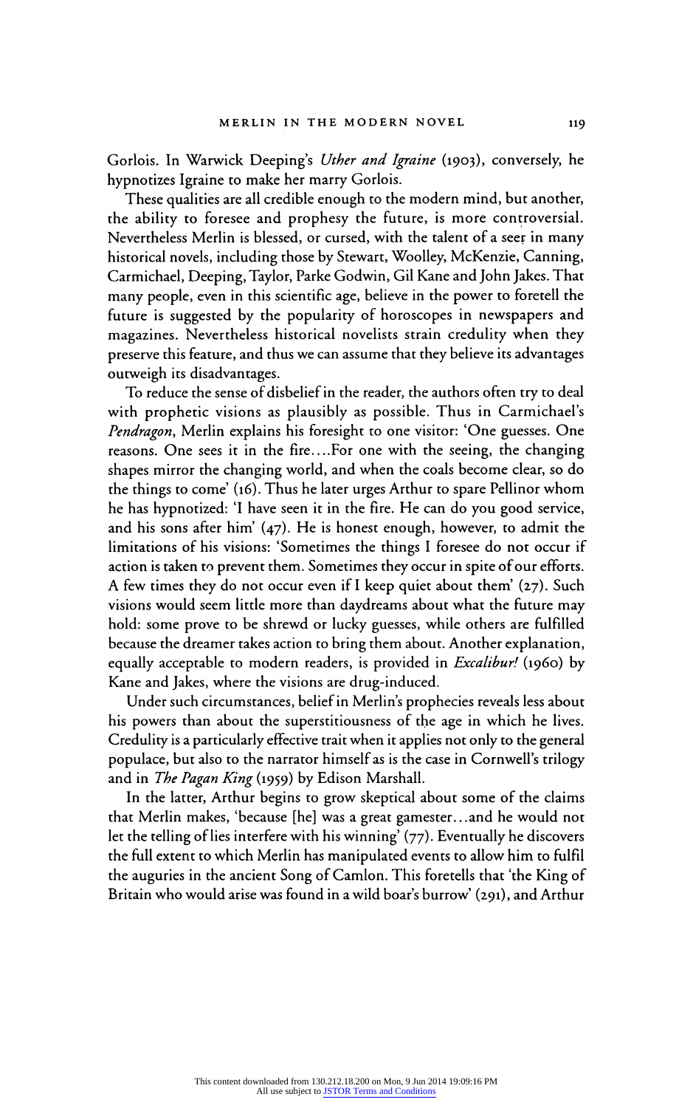Gorlois. In Warwick Deeping's Uther and Igraine (1903), conversely, he hypnotizes Igraine to make her marry Gorlois.

These qualities are all credible enough to the modern mind, but another, the ability to foresee and prophesy the future, is more controversial. Nevertheless Merlin is blessed, or cursed, with the talent of a seer in many historical novels, including those by Stewart, Woolley, McKenzie, Canning, Carmichael, Deeping, Taylor, Parke Godwin, Gil Kane and John Jakes. That many people, even in this scientific age, believe in the power to foretell the future is suggested by the popularity of horoscopes in newspapers and<br>magazines. Nevertheless historical novelists strain credulity when they magazines. Nevertheless historical novelists strain credulity when they preserve this feature, and thus we can assume that they believe its advantage outweigh its disadvantages.

To reduce the sense of disbelief in the reader, the authors often try to deal with prophetic visions as plausibly as possible. Thus in Carmichael's Pendragon, Merlin explains his foresight to one visitor: 'One guesses. One reasons. One sees it in the fire....For one with the seeing, the changing shapes mirror the changing world, and when the coals become clear, so do the things to come' (16). Thus he later urges Arthur to spare Pellinor whom he has hypnotized: 'I have seen it in the fire. He can do you good service, and his sons after him' (47). He is honest enough, however, to admit the limitations of his visions: 'Sometimes the things I foresee do not occur if action is taken to prevent them. Sometimes they occur in spite of our efforts, A few times they do not occur even if I keep quiet about them' (27). Such visions would seem little more than daydreams about what the future may hold: some prove to be shrewd or lucky guesses, while others are fulfilled because the dreamer takes action to bring them about. Another explanation, equally acceptable to modern readers, is provided in *Excalibur!* (1960) by Kane and Jakes, where the visions are drug-induced.

Under such circumstances, belief in Merlin's prophecies reveals less about his powers than about the superstitiousness of the age in which he lives. Credulity is a particularly effective trait when it applies not only to the general populace, but also to the narrator himself as is the case in Cornwell's trilogy and in The Pagan King (1959) by Edison Marshall.

In the latter, Arthur begins to grow skeptical about some of the claims that Merlin makes, 'because [he] was a great gamester.. .and he would not let the telling of lies interfere with his winning' (77). Eventually he discovers the full extent to which Merlin has manipulated events to allow him to fulfil the auguries in the ancient Song of Camion. This foretells that 'the King of Britain who would arise was found in a wild boar's burrow' (291), and Arthur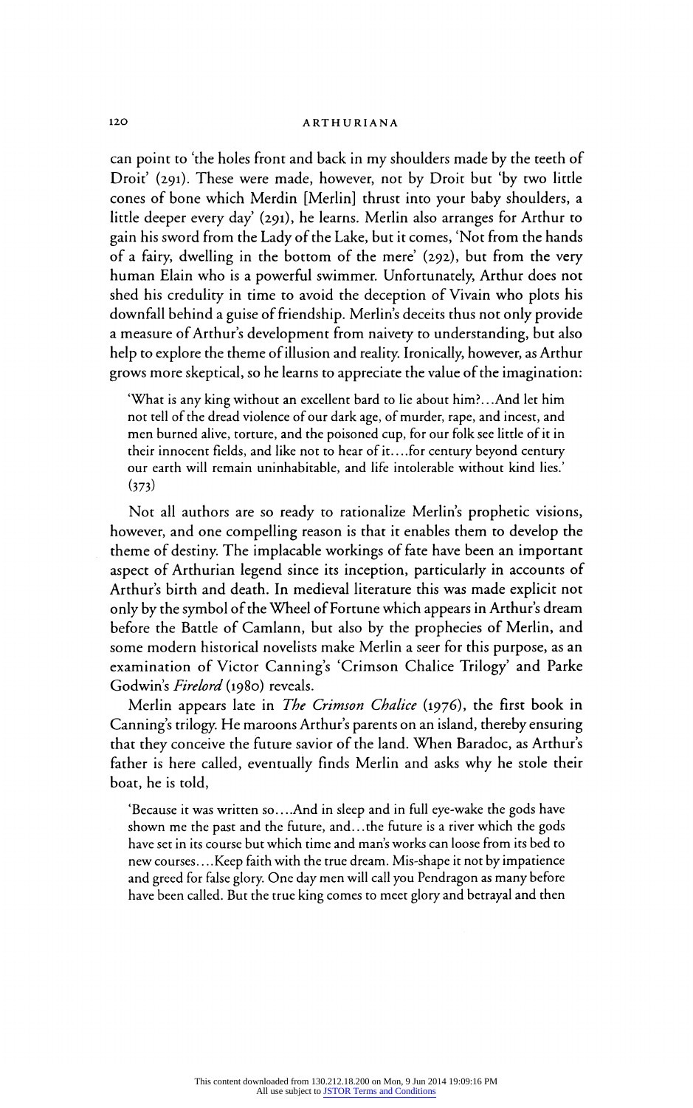can point to 'the holes front and back in my shoulders made by the teeth of Droit' (291). These were made, however, not by Droit but 'by two little cones of bone which Merdin [Merlin] thrust into your baby shoulders, a little deeper every day' (291), he learns. Merlin also arranges for Arthur to gain his sword from the Lady of the Lake, but it comes, 'Not from the hands of a fairy, dwelling in the bottom of the mere' (292), but from the very human Elain who is a powerful swimmer. Unfortunately, Arthur does not shed his credulity in time to avoid the deception of Vivain who plots his downfall behind a guise of friendship. Merlin's deceits thus not only provide a measure of Arthur's development from naivety to understanding, but also help to explore the theme of illusion and reality. Ironically, however, as Arthur grows more skeptical, so he learns to appreciate the value of the imagination:

'What is any king without an excellent bard to lie about him?.. And let him not tell of the dread violence of our dark age, of murder, rape, and incest, and men burned alive, torture, and the poisoned cup, for our folk see little of it in their innocent fields, and like not to hear of it.. ..for century beyond century our earth will remain uninhabitable, and life intolerable without kind lies.'  $(373)$ 

Not all authors are so ready to rationalize Merlin's prophetic visions, however, and one compelling reason is that it enables them to develop the theme of destiny. The implacable workings of fate have been an important aspect of Arthurian legend since its inception, particularly in accounts of Arthur's birth and death. In medieval literature this was made explicit not only by the symbol of the Wheel of Fortune which appears in Arthur's dream before the Battle of Camlann, but also by the prophecies of Merlin, and some modern historical novelists make Merlin a seer for this purpose, as an examination of Victor Canning's 'Crimson Chalice Trilogy' and Parke Godwin's Firelord (1980) reveals.

Merlin appears late in *The Crimson Chalice* (1976), the first book in Canning's trilogy. He maroons Arthur's parents on an island, thereby ensuring that they conceive the future savior of the land. When Baradoc, as Arthur's father is here called, eventually finds Merlin and asks why he stole their boat, he is told,

'Because it was written so....And in sleep and in full eye-wake the gods have shown me the past and the future, and.. .the future is a river which the gods have set in its course but which time and man's works can loose from its bed to new courses... .Keep faith with the true dream. Mis-shape it not by impatience and greed for false glory. One day men will call you Pendragon as many before have been called. But the true king comes to meet glory and betrayal and then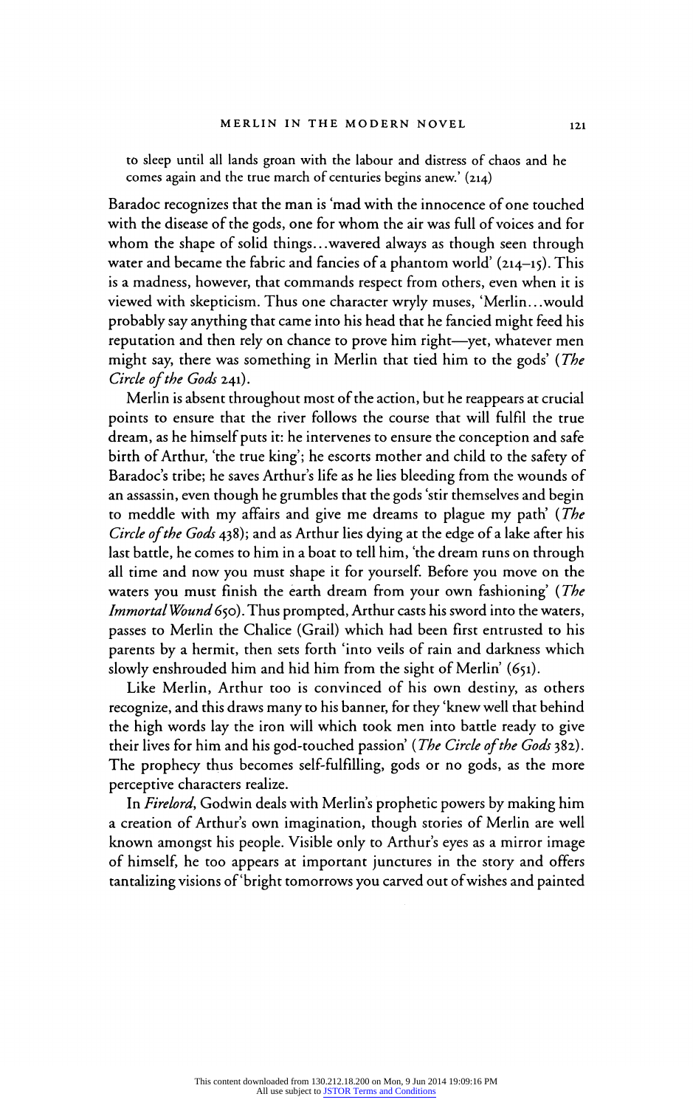to sleep until all lands groan with the labour and distress of chaos and he comes again and the true march of centuries begins anew.' (214)

Baradoc recognizes that the man is 'mad with the innocence of one touched with the disease of the gods, one for whom the air was full of voices and for whom the shape of solid things... wavered always as though seen through water and became the fabric and fancies of a phantom world' (214-15). This is a madness, however, that commands respect from others, even when it is viewed with skepticism. Thus one character wryly muses, 'Merlin.. .would probably say anything that came into his head that he fancied might feed his reputation and then rely on chance to prove him right-yet, whatever men might say, there was something in Merlin that tied him to the gods' (The Circle of the Gods 241).

Merlin is absent throughout most of the action, but he reappears at crucial points to ensure that the river follows the course that will fulfil the true dream, as he himself puts it: he intervenes to ensure the conception and safe birth of Arthur, 'the true king'; he escorts mother and child to the safety of Baradoc's tribe; he saves Arthur's life as he lies bleeding from the wounds of an assassin, even though he grumbles that the gods 'stir themselves and begin to meddle with my affairs and give me dreams to plague my path' (The Circle of the Gods 438); and as Arthur lies dying at the edge of a lake after his last battle, he comes to him in a boat to tell him, 'the dream runs on through all time and now you must shape it for yourself. Before you move on the waters you must finish the earth dream from your own fashioning' (The Immortal Wound 650). Thus prompted, Arthur casts his sword into the waters, passes to Merlin the Chalice (Grail) which had been first entrusted to his parents by a hermit, then sets forth 'into veils of rain and darkness which slowly enshrouded him and hid him from the sight of Merlin' (651).

Like Merlin, Arthur too is convinced of his own destiny, as others recognize, and this draws many to his banner, for they 'knew well that behind the high words lay the iron will which took men into battle ready to give their lives for him and his god-touched passion' (The Circle of the Gods 382). The prophecy thus becomes self-fulfilling, gods or no gods, as the more perceptive characters realize.

In Firelord, Godwin deals with Merlin's prophetic powers by making him a creation of Arthur's own imagination, though stories of Merlin are well known amongst his people. Visible only to Arthur's eyes as a mirror image of himself, he too appears at important junctures in the story and offers tantalizing visions of'bright tomorrows you carved out of wishes and painted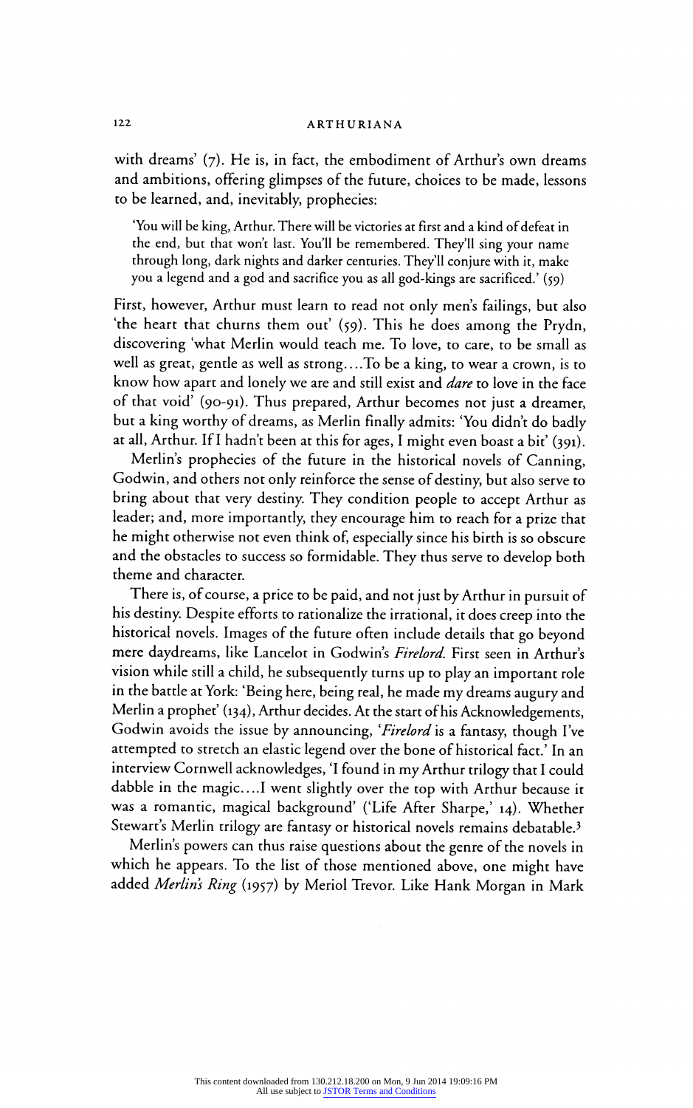# 122 ARTHURIANA

with dreams' (7). He is, in fact, the embodiment of Arthur's own dreams and ambitions, offering glimpses of the future, choices to be made, lessons to be learned, and, inevitably, prophecies:

'You will be king, Arthur. There will be victories at first and a kind of defeat in the end, but that won't last. You'll be remembered. They'll sing your name through long, dark nights and darker centuries. They'll conjure with it, make you a legend and a god and sacrifice you as all god-kings are sacrificed.' (59)

First, however, Arthur must learn to read not only men's failings, but also 'the heart that churns them out' (59). This he does among the Prydn, discovering 'what Merlin would teach me. To love, to care, to be small as well as great, gentle as well as strong.. ..To be a king, to wear a crown, is to know how apart and lonely we are and still exist and *dare* to love in the face of that void' (90-91). Thus prepared, Arthur becomes not just a dreamer, but a king worthy of dreams, as Merlin finally admits: 'You didn't do badly at all, Arthur. If I hadn't been at this for ages, I might even boast a bit' (391).

Merlin's prophecies of the future in the historical novels of Canning, Godwin, and others not only reinforce the sense of destiny, but also serve to bring about that very destiny. They condition people to accept Arthur as leader; and, more importantly, they encourage him to reach for a prize that he might otherwise not even think of, especially since his birth is so obscure and the obstacles to success so formidable. They thus serve to develop both theme and character.

There is, of course, a price to be paid, and not just by Arthur in pursuit of his destiny. Despite efforts to rationalize the irrational, it does creep into the historical novels. Images of the future often include details that go beyond mere daydreams, like Lancelot in Godwin's Firelord. First seen in Arthur's vision while still a child, he subsequently turns up to play an important role in the battle at York: 'Being here, being real, he made my dreams augury and Merlin a prophet' (134), Arthur decides. At the start of his Acknowledgements, Godwin avoids the issue by announcing, 'Firelord is a fantasy, though I've attempted to stretch an elastic legend over the bone of historical fact.' In an interview Cornwell acknowledges, 'I found in my Arthur trilogy that I could dabble in the magic....I went slightly over the top with Arthur because it was a romantic, magical background' ('Life After Sharpe,' 14). Whether Stewart's Merlin trilogy are fantasy or historical novels remains debatable.<sup>3</sup>

Merlin's powers can thus raise questions about the genre of the novels in which he appears. To the list of those mentioned above, one might have added Merlin's Ring (1957) by Meriol Trevor. Like Hank Morgan in Mark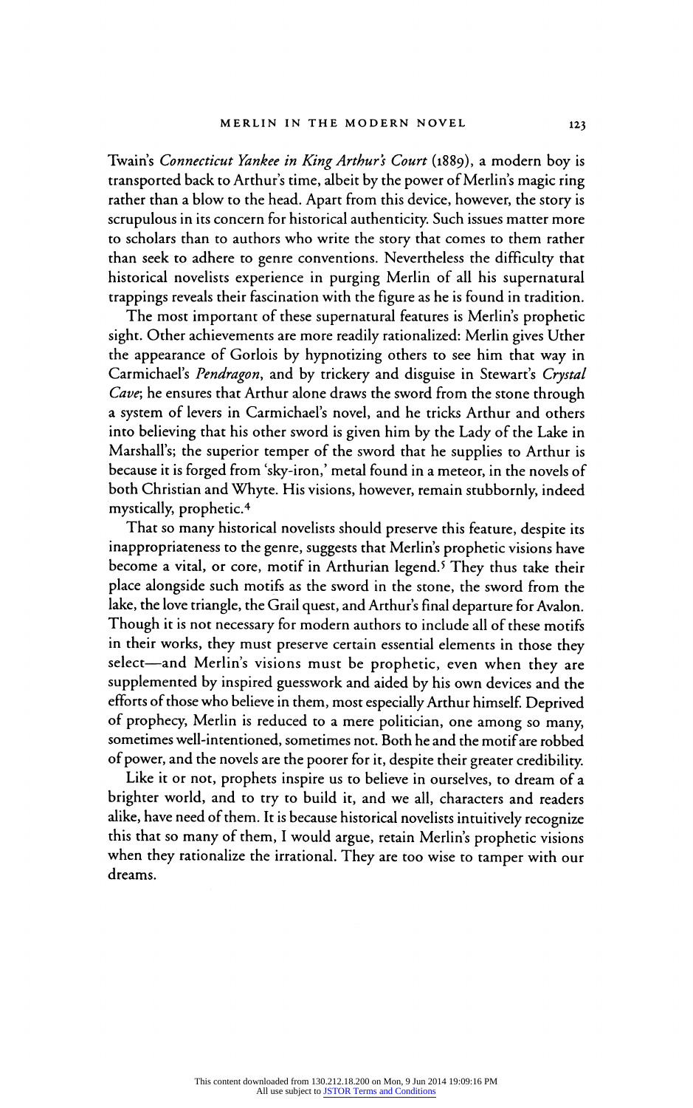Twain's Connecticut Yankee in King Arthur's Court (1889), a modern boy is transported back to Arthur's time, albeit by the power of Merlin's magic ring rather than a blow to the head. Apart from this device, however, the story is scrupulous in its concern for historical authenticity. Such issues matter more to scholars than to authors who write the story that comes to them rather than seek to adhere to genre conventions. Nevertheless the difficulty that historical novelists experience in purging Merlin of all his supernatural trappings reveals their fascination with the figure as he is found in tradition.

The most important of these supernatural features is Merlin's prophetic sight. Other achievements are more readily rationalized: Merlin gives Uther the appearance of Gorlois by hypnotizing others to see him that way in Carmichael's Pendragon, and by trickery and disguise in Stewart's Crystal Cave; he ensures that Arthur alone draws the sword from the stone through a system of levers in Carmichael's novel, and he tricks Arthur and others into believing that his other sword is given him by the Lady of the Lake in Marshall's; the superior temper of the sword that he supplies to Arthur is because it is forged from 'sky-iron,' metal found in a meteor, in the novels of both Christian and Whyte. His visions, however, remain stubbornly, indeed  $\frac{m}{\pi}$ 

That so many historical novelists should preserve this feature, despite its inappropriateness to the genre, suggests that Merlin's prophetic visions have become a vital, or core, motif in Arthurian legend.5 They thus take their place alongside such motifs as the sword in the stone, the sword from the lake, the love triangle, the Grail quest, and Arthur's final departure for Avalon. Though it is not necessary for modern authors to include all of these motifs in their works, they must preserve certain essential elements in those they select-and Merlin's visions must be prophetic, even when they are supplemented by inspired guesswork and aided by his own devices and the efforts of those who believe in them, most especially Arthur himself. Deprived of prophecy, Merlin is reduced to a mere politician, one among so many, sometimes well-intentioned, sometimes not. Both he and the motif are robbed of power, and the novels are the poorer for it, despite their greater credibility.

Like it or not, prophets inspire us to believe in ourselves, to dream of a brighter world, and to try to build it, and we all, characters and readers alike, have need of them. It is because historical novelists intuitively recognize this that so many of them, I would argue, retain Merlin's prophetic visions when they rationalize the irrational. They are too wise to tamper with our dreams.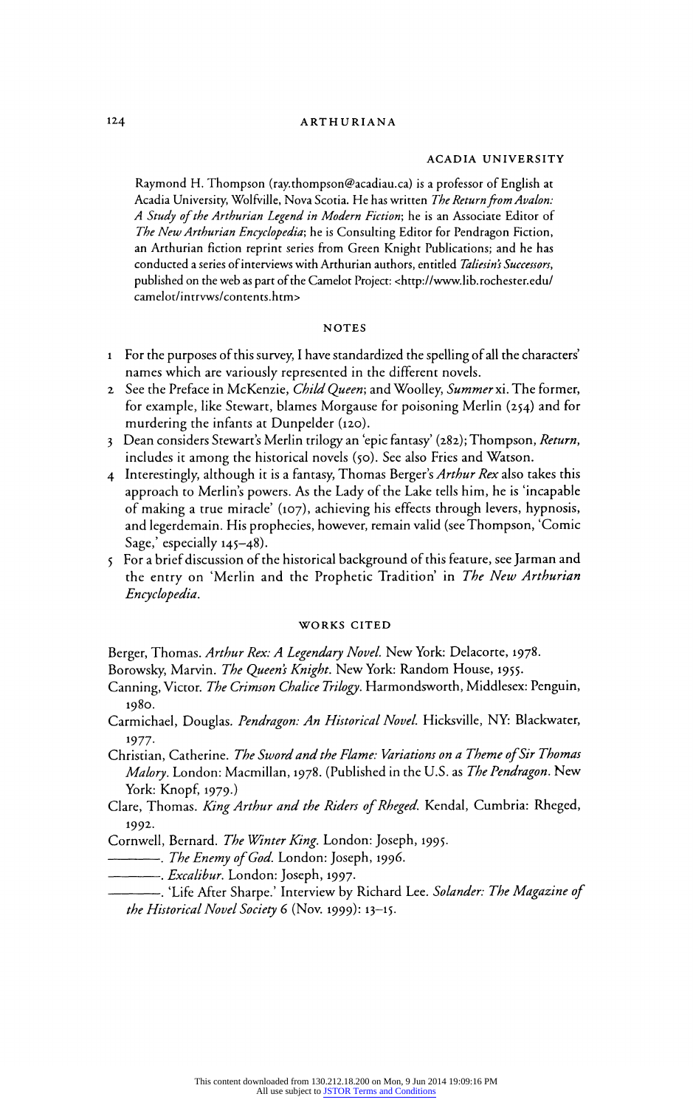#### ACADIA UNIVERSITY

Raymond H. Thompson (ray.thompson@acadiau.ca) is a professor of English at<br>Acadia University, Wolfville, Nova Scotia. He has written *The Return from Avalon:* Acadia University, Wolfville, Nova Scotia. He has written *The Return from Avalo*n:<br>A Canada Avalon: The Martin From Avalon: The Theory A Study of the Arthurian Legend in Modern Fiction; he is an Associate Editor of The New Arthurian Encyclopedia; he is Consulting Editor for Pendragon Fiction, an Arthurian fiction reprint series from Green Knight Publications; and he has conducted a series of interviews with Arthurian authors, entitled Taliesin's Successors, published on the web as part of the Camelot Project: <http://www.lib.rochester.edu/ camelot/intrvws/contents.htm>

#### NOTES

- 1 For the purposes of this survey, I have standardized the spelling of all the characters' names which are variously represented in the different novels.
- 2 See the Preface in McKenzie, Child Queen; and Woolley, Summer xi. The former, for example, like Stewart, blames Morgause for poisoning Merlin (254) and for murdering the infants at Dunpelder (120).
- 3 Dean considers Stewart's Merlin trilogy an 'epic fantasy' (282); Thompson, Return, includes it among the historical novels (50). See also Fries and Watson.
- 4 Interestingly, although it is a fantasy, Thomas Berger's Arthur Rex also takes this approach to Merlin's powers. As the Lady of the Lake tells him, he is 'incapable of making a true miracle' (107), achieving his effects through levers, hypnosis, and legerdemain. His prophecies, however, remain valid (see Thompson, 'Comic  $S$ age, especially 145-48).
- 5 For a brief discussion of the historical background of this feature, see Jarman and the entry on 'Merlin and the Prophetic Tradition' in The New Arthurian Encyclopedia.

### WORKS CITED

Berger, Thomas. Arthur Rex: A Legendary Novel. New York: Delacorte, 1978.

Borowsky, Marvin. The Queen's Knight. New York: Random House, 1955.

- Canning, Victor. *The Crimson Chalice Trilogy*. Harmondsworth, Middlesex: Penguin, 1980.
- Carmichael, Douglas. Pendragon: An Historical Novel. Hicksville, NY: Blackwater,
- Christian, Catherine. The Sword and the Flame: Variations on a Theme of Sir Thomas Malory. London: Macmillan, 1978. (Published in the U.S. as The Pendragon. New York: Knopf, 1979.)
- Clare, Thomas. King Arthur and the Riders of Rheged. Kendal, Cumbria: Rheged,  $1992$
- Cornwell, Bernard. *The Winter King*. London: Joseph, 1995.
- -------------- The Enemy of God. London: Joseph, 1996.
- -. *Excalibur*. London: Joseph, 1997.
	- ------. 'Life After Sharpe.' Interview by Richard Lee. Solander: The Magazine of the Historical Novel Society 6 (Nov. 1999): 13-15.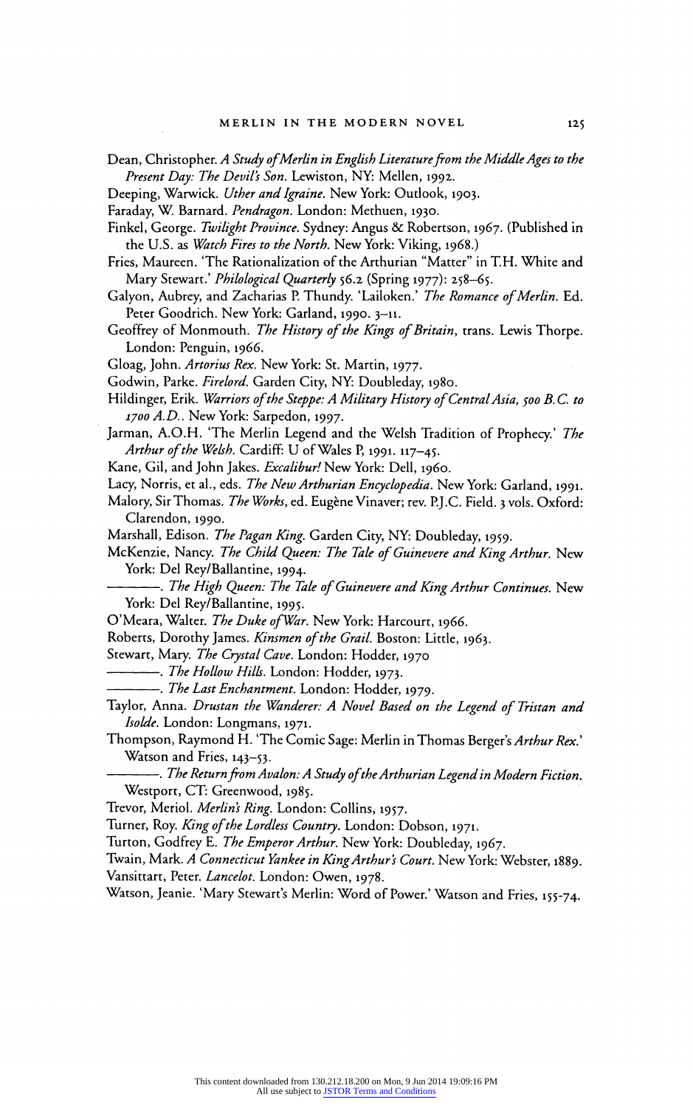Dean, Christopher. A Study of Merlin in English Literature from the Middle Ages to the Present Day: The Devil's Son. Lewiston, NY: Mellen, 1992.

Deeping, Warwick. Uther and Igraine. New York: Outlook, 1903.<br>Faraday, W. Barnard. Pendragon. London: Methuen, 1930.

Faraday, W. Barnard. Pendragon. London. Methuen, 1930.

Finkel, George. Twilight Province. Sydney: Angus & Robertson, 1967. (Published in the U.S. as Watch Fires to the North. New York: Viking, 1968.)

Fries, Maureen. The Rationalization of the Arthurian "Matter" in T.H. White and Mary Stewart.' Philological Quarterly 56.2 (Spring 1977): 258-65.

Galyon, Aubrey, and Zacharias P. Thundy. 'Lailoken.' The Romance of Merlin. Ed. Peter Goodrich. New York: Garland, 1990. 3-11.

Geoffrey of Monmouth. The History of the Kings of Britain, trans. Lewis Thorpe. London: Penguin, 1966.

Gloag, John. Artorius Rex. New York: St. Martin, 1977.

Godwin, Parke. Firelord. Garden City, NY: Doubleday, 1980.

Hildinger, Erik. Warriors of the Steppe: A Military History of Central Asia, 500 B.C. to<br>1700 A.D.. New York: Sarpedon, 1997.  $1700 71. D$ .. New York: Sarpedon, 1997.

Jarman, A.O.H. The Merlin Legend and the Welsh Tradition of Prophecy. The Arthur of the Welsh. Cardiff: U of Wales P, 1991. 117-45.

Kane, Gil, and John Jakes. Excalibur! New York: Dell, 1960.

Lacy, Norris, et al., eds. The New Arthurian Encyclopedia. New York: Garland, 1991.

Malory, Sir Thomas. *The Works*, ed. Eugène Vinaver; rev. P.J.C. Field. 3 vols. Oxford: Clarendon, 1990.  $\frac{C_{\text{max}}}{C_{\text{max}}}\frac{C_{\text{max}}}{C_{\text{max}}}\frac{1}{C_{\text{max}}}\frac{C_{\text{max}}}{C_{\text{max}}}\frac{1}{C_{\text{max}}}\frac{C_{\text{max}}}{C_{\text{max}}}\frac{C_{\text{max}}}{C_{\text{max}}}\frac{1}{C_{\text{max}}}\frac{C_{\text{max}}}{C_{\text{max}}}\frac{C_{\text{max}}}{C_{\text{max}}}\frac{1}{C_{\text{max}}}\frac{C_{\text{max}}}{C_{\text{max}}}\frac{C_{\text{max}}}{C_{\text{max}}}\frac{1}{C_{\text{$ 

Marshall, Edison. *The Pagan King*. Garden City, NY: Doubleday, 1959.<br>McKaniko Nyusan *The Chill Open The The Community of the* 

McKenzie, Nancy. The Child Queen: The Tale of Guinevere and King Arthur. New York: Del Rey/Ballantine, 1994.

-. The High Queen: The Tale of Guinevere and King Arthur Continues. New York: Del Rey/Ballantine, 1995.

O'Meara, Walter. The Duke of War. New York: Harcourt, 1966.

Roberts, Dorothy James. Kinsmen of the Grail. Boston: Little, 1963.

Stewart, Mary. The Crystal Cave. London: Hodder, 1970

-. The Hollow Hills. London: Hodder, 1973.

-... The Last Enchantment. London: Hodder, 1979.

Taylor, Anna. Drustan the Wanderer: A Novel Based on the Legend of Tristan and Isolde. London: Longmans, 1971.

Thompson, Raymond H. 'The Comic Sage: Merlin in Thomas Berger's Arthur Rex.' Watson and Fries, 143-53.

-. The Return from Avalon: A Study ofthe Arthurian Legend in Modern Fiction. Westport, CT: Greenwood, 1985.

Trevor, Meriol. Merlin's Ring. London: Collins, 1957.

Turner, Roy. King of the Lordless Country. London: Dobson, 1971.

Turton, Godfrey E. The Emperor Arthur. New York: Doubleday, 1967.

Twain, Mark. A Connecticut Yankee in King Arthur's Court. New York: Webster, 1889.

Vansittart, Peter. Lancelot. London: Owen, 1978.

Watson, Jeanie. 'Mary Stewart's Merlin: Word of Power.' Watson and Fries, 155-74.